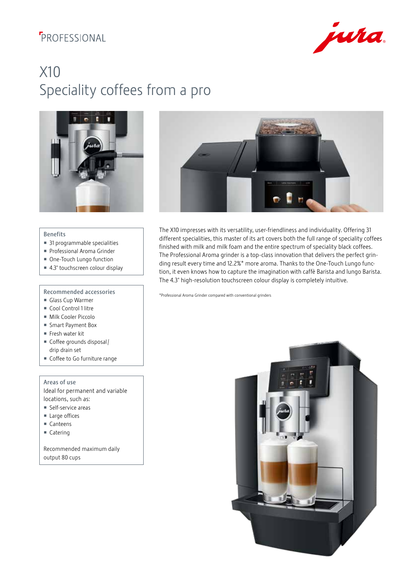### **F**PROFESSIONAL



# X10 Speciality coffees from a pro





#### Benefits

- 31 programmable specialities
- Professional Aroma Grinder
- One-Touch Lungo function
- 4.3" touchscreen colour display

#### Recommended accessories

- Glass Cup Warmer
- Cool Control 1 litre
- Milk Cooler Piccolo
- Smart Payment Box
- Fresh water kit
- Coffee grounds disposal / drip drain set
- Coffee to Go furniture range

#### Areas of use

Ideal for permanent and variable locations, such as:

- Self-service areas
- Large offices
- Canteens
- Catering

Recommended maximum daily output 80 cups

The X10 impresses with its versatility, user-friendliness and individuality. Offering 31 different specialities, this master of its art covers both the full range of speciality coffees finished with milk and milk foam and the entire spectrum of speciality black coffees. The Professional Aroma grinder is a top-class innovation that delivers the perfect grinding result every time and 12.2%\* more aroma. Thanks to the One-Touch Lungo function, it even knows how to capture the imagination with caffè Barista and lungo Barista. The 4.3" high-resolution touchscreen colour display is completely intuitive.

\*Professional Aroma Grinder compared with conventional grinders